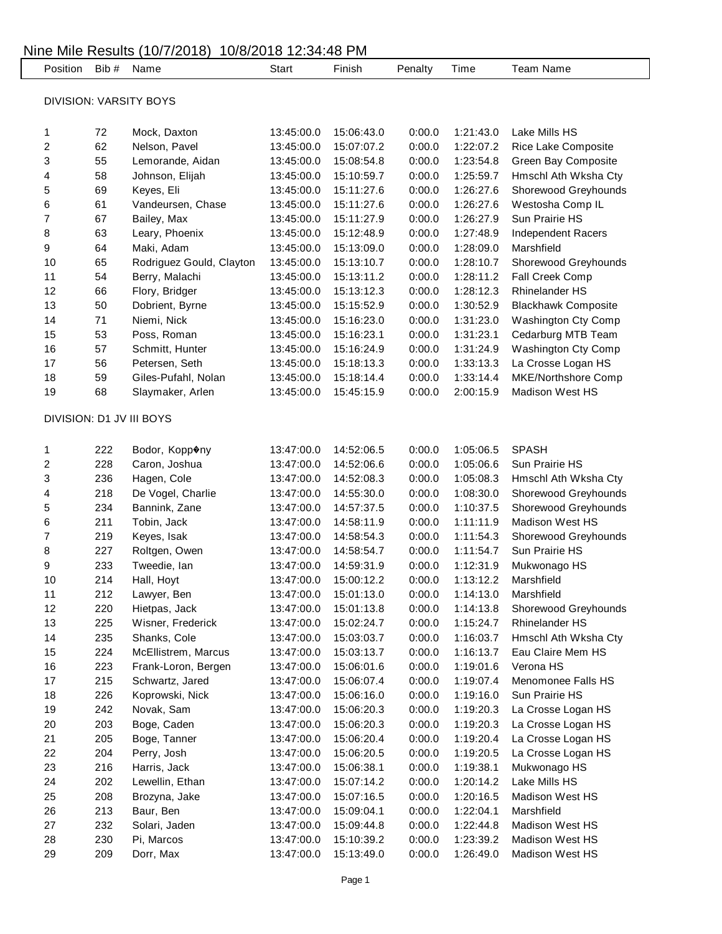| Position                |     | Bib # Name               | Start      | Finish     | Penalty | Time      | <b>Team Name</b>           |
|-------------------------|-----|--------------------------|------------|------------|---------|-----------|----------------------------|
| DIVISION: VARSITY BOYS  |     |                          |            |            |         |           |                            |
| 1                       | 72  | Mock, Daxton             | 13:45:00.0 | 15:06:43.0 | 0:00.0  | 1:21:43.0 | Lake Mills HS              |
| 2                       | 62  | Nelson, Pavel            | 13:45:00.0 | 15:07:07.2 | 0:00.0  | 1:22:07.2 | Rice Lake Composite        |
| 3                       | 55  | Lemorande, Aidan         | 13:45:00.0 | 15:08:54.8 | 0:00.0  | 1:23:54.8 | Green Bay Composite        |
| 4                       | 58  | Johnson, Elijah          | 13:45:00.0 | 15:10:59.7 | 0:00.0  | 1:25:59.7 | Hmschl Ath Wksha Cty       |
| 5                       | 69  | Keyes, Eli               | 13:45:00.0 | 15:11:27.6 | 0:00.0  | 1:26:27.6 | Shorewood Greyhounds       |
| 6                       | 61  | Vandeursen, Chase        | 13:45:00.0 | 15:11:27.6 | 0:00.0  | 1:26:27.6 | Westosha Comp IL           |
| 7                       | 67  | Bailey, Max              | 13:45:00.0 | 15:11:27.9 | 0:00.0  | 1:26:27.9 | Sun Prairie HS             |
| 8                       | 63  | Leary, Phoenix           | 13:45:00.0 | 15:12:48.9 | 0:00.0  | 1:27:48.9 | <b>Independent Racers</b>  |
| 9                       | 64  | Maki, Adam               | 13:45:00.0 | 15:13:09.0 | 0:00.0  | 1:28:09.0 | Marshfield                 |
| 10                      | 65  | Rodriguez Gould, Clayton | 13:45:00.0 | 15:13:10.7 | 0:00.0  | 1:28:10.7 | Shorewood Greyhounds       |
| 11                      | 54  | Berry, Malachi           | 13:45:00.0 | 15:13:11.2 | 0:00.0  | 1:28:11.2 | Fall Creek Comp            |
| 12                      | 66  | Flory, Bridger           | 13:45:00.0 | 15:13:12.3 | 0:00.0  | 1:28:12.3 | <b>Rhinelander HS</b>      |
| 13                      | 50  | Dobrient, Byrne          | 13:45:00.0 | 15:15:52.9 | 0:00.0  | 1:30:52.9 | <b>Blackhawk Composite</b> |
| 14                      | 71  | Niemi, Nick              | 13:45:00.0 | 15:16:23.0 | 0:00.0  | 1:31:23.0 | <b>Washington Cty Comp</b> |
| 15                      | 53  | Poss, Roman              | 13:45:00.0 | 15:16:23.1 | 0:00.0  | 1:31:23.1 | Cedarburg MTB Team         |
| 16                      | 57  | Schmitt, Hunter          | 13:45:00.0 | 15:16:24.9 | 0:00.0  | 1:31:24.9 | Washington Cty Comp        |
| 17                      | 56  | Petersen, Seth           | 13:45:00.0 | 15:18:13.3 | 0:00.0  | 1:33:13.3 | La Crosse Logan HS         |
| 18                      | 59  | Giles-Pufahl, Nolan      | 13:45:00.0 | 15:18:14.4 | 0:00.0  | 1:33:14.4 | MKE/Northshore Comp        |
| 19                      | 68  | Slaymaker, Arlen         | 13:45:00.0 | 15:45:15.9 | 0:00.0  | 2:00:15.9 | <b>Madison West HS</b>     |
|                         |     | DIVISION: D1 JV III BOYS |            |            |         |           |                            |
| 1                       | 222 | Bodor, Kopp�ny           | 13:47:00.0 | 14:52:06.5 | 0:00.0  | 1:05:06.5 | <b>SPASH</b>               |
| $\overline{\mathbf{c}}$ | 228 | Caron, Joshua            | 13:47:00.0 | 14:52:06.6 | 0:00.0  | 1:05:06.6 | Sun Prairie HS             |
| 3                       | 236 | Hagen, Cole              | 13:47:00.0 | 14:52:08.3 | 0:00.0  | 1:05:08.3 | Hmschl Ath Wksha Cty       |
| 4                       | 218 | De Vogel, Charlie        | 13:47:00.0 | 14:55:30.0 | 0:00.0  | 1:08:30.0 | Shorewood Greyhounds       |
| 5                       | 234 | Bannink, Zane            | 13:47:00.0 | 14:57:37.5 | 0:00.0  | 1:10:37.5 | Shorewood Greyhounds       |
| 6                       | 211 | Tobin, Jack              | 13:47:00.0 | 14:58:11.9 | 0:00.0  | 1:11:11.9 | <b>Madison West HS</b>     |
| 7                       | 219 | Keyes, Isak              | 13:47:00.0 | 14:58:54.3 | 0:00.0  | 1:11:54.3 | Shorewood Greyhounds       |
| 8                       | 227 | Roltgen, Owen            | 13:47:00.0 | 14:58:54.7 | 0:00.0  | 1:11:54.7 | Sun Prairie HS             |
| 9                       | 233 | Tweedie, Ian             | 13:47:00.0 | 14:59:31.9 | 0:00.0  | 1:12:31.9 | Mukwonago HS               |
| 10                      | 214 | Hall, Hoyt               | 13:47:00.0 | 15:00:12.2 | 0:00.0  | 1:13:12.2 | Marshfield                 |
| 11                      | 212 | Lawyer, Ben              | 13:47:00.0 | 15:01:13.0 | 0:00.0  | 1:14:13.0 | Marshfield                 |
| 12                      | 220 | Hietpas, Jack            | 13:47:00.0 | 15:01:13.8 | 0:00.0  | 1:14:13.8 | Shorewood Greyhounds       |
| 13                      | 225 | Wisner, Frederick        | 13:47:00.0 | 15:02:24.7 | 0:00.0  | 1:15:24.7 | <b>Rhinelander HS</b>      |
| 14                      | 235 | Shanks, Cole             | 13:47:00.0 | 15:03:03.7 | 0:00.0  | 1:16:03.7 | Hmschl Ath Wksha Cty       |
| 15                      | 224 | McEllistrem, Marcus      | 13:47:00.0 | 15:03:13.7 | 0:00.0  | 1:16:13.7 | Eau Claire Mem HS          |
| 16                      | 223 | Frank-Loron, Bergen      | 13:47:00.0 | 15:06:01.6 | 0:00.0  | 1:19:01.6 | Verona HS                  |
| $17$                    | 215 | Schwartz, Jared          | 13:47:00.0 | 15:06:07.4 | 0:00.0  | 1:19:07.4 | Menomonee Falls HS         |
| 18                      | 226 | Koprowski, Nick          | 13:47:00.0 | 15:06:16.0 | 0:00.0  | 1:19:16.0 | Sun Prairie HS             |
| 19                      | 242 | Novak, Sam               | 13:47:00.0 | 15:06:20.3 | 0:00.0  | 1:19:20.3 | La Crosse Logan HS         |
| 20                      | 203 | Boge, Caden              | 13:47:00.0 | 15:06:20.3 | 0:00.0  | 1:19:20.3 | La Crosse Logan HS         |
| 21                      | 205 | Boge, Tanner             | 13:47:00.0 | 15:06:20.4 | 0:00.0  | 1:19:20.4 | La Crosse Logan HS         |
| 22                      | 204 | Perry, Josh              | 13:47:00.0 | 15:06:20.5 | 0:00.0  | 1:19:20.5 | La Crosse Logan HS         |
| 23                      | 216 | Harris, Jack             | 13:47:00.0 | 15:06:38.1 | 0:00.0  | 1:19:38.1 | Mukwonago HS               |
| 24                      | 202 | Lewellin, Ethan          | 13:47:00.0 | 15:07:14.2 | 0:00.0  | 1:20:14.2 | Lake Mills HS              |
| 25                      | 208 | Brozyna, Jake            | 13:47:00.0 | 15:07:16.5 | 0:00.0  | 1:20:16.5 | Madison West HS            |
| 26                      | 213 | Baur, Ben                | 13:47:00.0 | 15:09:04.1 | 0:00.0  | 1:22:04.1 | Marshfield                 |
| 27                      | 232 | Solari, Jaden            | 13:47:00.0 | 15:09:44.8 | 0:00.0  | 1:22:44.8 | Madison West HS            |
| 28                      | 230 | Pi, Marcos               | 13:47:00.0 | 15:10:39.2 | 0:00.0  | 1:23:39.2 | Madison West HS            |
| 29                      | 209 | Dorr, Max                | 13:47:00.0 | 15:13:49.0 | 0:00.0  | 1:26:49.0 | Madison West HS            |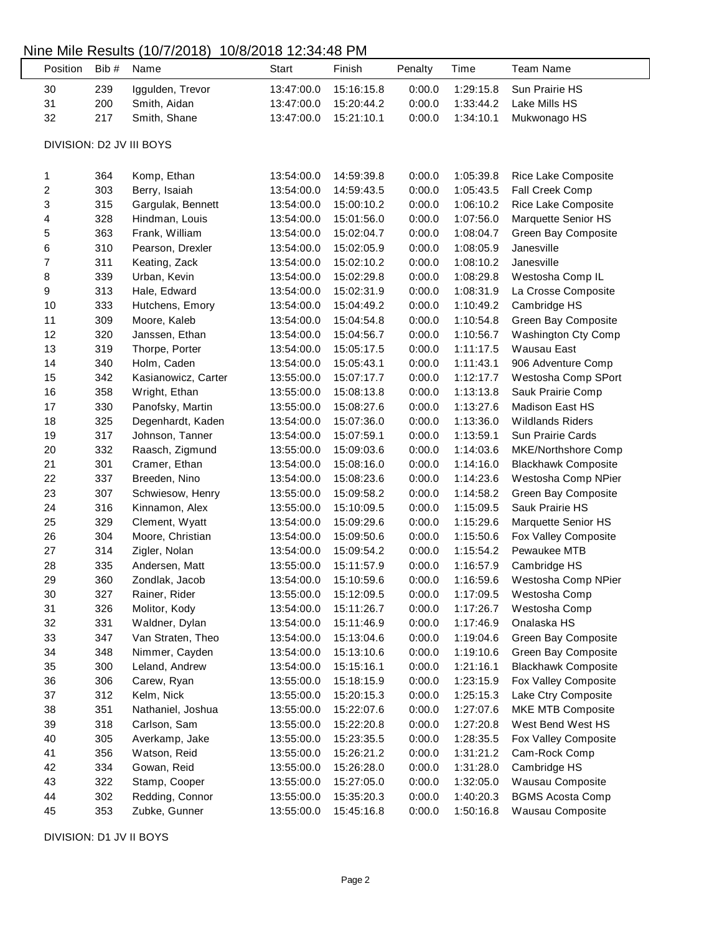#### Nine Mile Results (10/7/2018) 10/8/2018 12:34:48 PM

 $\mathsf{L}$ 

| Position                 | Bib# | Name                | Start      | Finish     | Penalty | Time      | <b>Team Name</b>           |  |  |
|--------------------------|------|---------------------|------------|------------|---------|-----------|----------------------------|--|--|
| 30                       | 239  | Iggulden, Trevor    | 13:47:00.0 | 15:16:15.8 | 0:00.0  | 1:29:15.8 | Sun Prairie HS             |  |  |
| 31                       | 200  | Smith, Aidan        | 13:47:00.0 | 15:20:44.2 | 0:00.0  | 1:33:44.2 | Lake Mills HS              |  |  |
| 32                       | 217  | Smith, Shane        | 13:47:00.0 | 15:21:10.1 | 0:00.0  | 1:34:10.1 | Mukwonago HS               |  |  |
|                          |      |                     |            |            |         |           |                            |  |  |
| DIVISION: D2 JV III BOYS |      |                     |            |            |         |           |                            |  |  |
|                          |      |                     |            |            |         |           |                            |  |  |
| 1                        | 364  | Komp, Ethan         | 13:54:00.0 | 14:59:39.8 | 0:00.0  | 1:05:39.8 | Rice Lake Composite        |  |  |
| $\overline{\mathbf{c}}$  | 303  | Berry, Isaiah       | 13:54:00.0 | 14:59:43.5 | 0:00.0  | 1:05:43.5 | Fall Creek Comp            |  |  |
| 3                        | 315  | Gargulak, Bennett   | 13:54:00.0 | 15:00:10.2 | 0:00.0  | 1:06:10.2 | Rice Lake Composite        |  |  |
| 4                        | 328  | Hindman, Louis      | 13:54:00.0 | 15:01:56.0 | 0:00.0  | 1:07:56.0 | Marquette Senior HS        |  |  |
| 5                        | 363  | Frank, William      | 13:54:00.0 | 15:02:04.7 | 0:00.0  | 1:08:04.7 | Green Bay Composite        |  |  |
| 6                        | 310  | Pearson, Drexler    | 13:54:00.0 | 15:02:05.9 | 0:00.0  | 1:08:05.9 | Janesville                 |  |  |
| $\overline{7}$           | 311  | Keating, Zack       | 13:54:00.0 | 15:02:10.2 | 0:00.0  | 1:08:10.2 | Janesville                 |  |  |
| 8                        | 339  | Urban, Kevin        | 13:54:00.0 | 15:02:29.8 | 0:00.0  | 1:08:29.8 | Westosha Comp IL           |  |  |
| 9                        | 313  | Hale, Edward        | 13:54:00.0 | 15:02:31.9 | 0:00.0  | 1:08:31.9 | La Crosse Composite        |  |  |
| 10                       | 333  | Hutchens, Emory     | 13:54:00.0 | 15:04:49.2 | 0:00.0  | 1:10:49.2 | Cambridge HS               |  |  |
| 11                       | 309  | Moore, Kaleb        | 13:54:00.0 | 15:04:54.8 | 0:00.0  | 1:10:54.8 | Green Bay Composite        |  |  |
| 12                       | 320  | Janssen, Ethan      | 13:54:00.0 | 15:04:56.7 | 0:00.0  | 1:10:56.7 | Washington Cty Comp        |  |  |
| 13                       | 319  | Thorpe, Porter      | 13:54:00.0 | 15:05:17.5 | 0:00.0  | 1:11:17.5 | Wausau East                |  |  |
| 14                       | 340  | Holm, Caden         | 13:54:00.0 | 15:05:43.1 | 0:00.0  | 1:11:43.1 | 906 Adventure Comp         |  |  |
| 15                       | 342  | Kasianowicz, Carter | 13:55:00.0 | 15:07:17.7 | 0:00.0  | 1:12:17.7 | Westosha Comp SPort        |  |  |
| 16                       | 358  | Wright, Ethan       | 13:55:00.0 | 15:08:13.8 | 0:00.0  | 1:13:13.8 | Sauk Prairie Comp          |  |  |
| 17                       | 330  | Panofsky, Martin    | 13:55:00.0 | 15:08:27.6 | 0:00.0  | 1:13:27.6 | Madison East HS            |  |  |
| 18                       | 325  | Degenhardt, Kaden   | 13:54:00.0 | 15:07:36.0 | 0:00.0  | 1:13:36.0 | <b>Wildlands Riders</b>    |  |  |
| 19                       | 317  | Johnson, Tanner     | 13:54:00.0 | 15:07:59.1 | 0:00.0  | 1:13:59.1 | Sun Prairie Cards          |  |  |
| 20                       | 332  | Raasch, Zigmund     | 13:55:00.0 | 15:09:03.6 | 0:00.0  | 1:14:03.6 | MKE/Northshore Comp        |  |  |
| 21                       | 301  | Cramer, Ethan       | 13:54:00.0 | 15:08:16.0 | 0:00.0  | 1:14:16.0 | <b>Blackhawk Composite</b> |  |  |
| 22                       | 337  | Breeden, Nino       | 13:54:00.0 | 15:08:23.6 | 0:00.0  | 1:14:23.6 | Westosha Comp NPier        |  |  |
| 23                       | 307  | Schwiesow, Henry    | 13:55:00.0 | 15:09:58.2 | 0:00.0  | 1:14:58.2 | Green Bay Composite        |  |  |
| 24                       | 316  | Kinnamon, Alex      | 13:55:00.0 | 15:10:09.5 | 0:00.0  | 1:15:09.5 | Sauk Prairie HS            |  |  |
| 25                       | 329  | Clement, Wyatt      | 13:54:00.0 | 15:09:29.6 | 0:00.0  | 1:15:29.6 | Marquette Senior HS        |  |  |
| 26                       | 304  | Moore, Christian    | 13:54:00.0 | 15:09:50.6 | 0:00.0  | 1:15:50.6 | Fox Valley Composite       |  |  |
| 27                       | 314  | Zigler, Nolan       | 13:54:00.0 | 15:09:54.2 | 0:00.0  | 1:15:54.2 | Pewaukee MTB               |  |  |
| 28                       | 335  | Andersen, Matt      | 13:55:00.0 | 15:11:57.9 | 0:00.0  | 1:16:57.9 | Cambridge HS               |  |  |
| 29                       | 360  | Zondlak, Jacob      | 13:54:00.0 | 15:10:59.6 | 0:00.0  | 1:16:59.6 | Westosha Comp NPier        |  |  |
| 30                       | 327  | Rainer, Rider       | 13:55:00.0 | 15:12:09.5 | 0:00.0  | 1:17:09.5 | Westosha Comp              |  |  |
| 31                       | 326  | Molitor, Kody       | 13:54:00.0 | 15:11:26.7 | 0:00.0  | 1:17:26.7 | Westosha Comp              |  |  |
| 32                       | 331  | Waldner, Dylan      | 13:54:00.0 | 15:11:46.9 | 0:00.0  | 1:17:46.9 | Onalaska HS                |  |  |
| 33                       | 347  | Van Straten, Theo   | 13:54:00.0 | 15:13:04.6 | 0:00.0  | 1:19:04.6 | Green Bay Composite        |  |  |
| 34                       | 348  | Nimmer, Cayden      | 13:54:00.0 | 15:13:10.6 | 0:00.0  | 1:19:10.6 | Green Bay Composite        |  |  |
| 35                       | 300  | Leland, Andrew      | 13:54:00.0 | 15:15:16.1 | 0:00.0  | 1:21:16.1 | <b>Blackhawk Composite</b> |  |  |
| 36                       | 306  | Carew, Ryan         | 13:55:00.0 | 15:18:15.9 | 0:00.0  | 1:23:15.9 | Fox Valley Composite       |  |  |
| 37                       | 312  | Kelm, Nick          | 13:55:00.0 | 15:20:15.3 | 0:00.0  | 1:25:15.3 | Lake Ctry Composite        |  |  |
| 38                       | 351  | Nathaniel, Joshua   | 13:55:00.0 | 15:22:07.6 | 0:00.0  | 1:27:07.6 | MKE MTB Composite          |  |  |
| 39                       | 318  | Carlson, Sam        | 13:55:00.0 | 15:22:20.8 | 0:00.0  | 1:27:20.8 | West Bend West HS          |  |  |
| 40                       | 305  | Averkamp, Jake      | 13:55:00.0 | 15:23:35.5 | 0:00.0  | 1:28:35.5 | Fox Valley Composite       |  |  |
| 41                       | 356  | Watson, Reid        | 13:55:00.0 | 15:26:21.2 | 0:00.0  | 1:31:21.2 | Cam-Rock Comp              |  |  |
| 42                       | 334  | Gowan, Reid         | 13:55:00.0 | 15:26:28.0 | 0:00.0  | 1:31:28.0 | Cambridge HS               |  |  |
| 43                       | 322  | Stamp, Cooper       | 13:55:00.0 | 15:27:05.0 | 0:00.0  | 1:32:05.0 | Wausau Composite           |  |  |
| 44                       | 302  | Redding, Connor     | 13:55:00.0 | 15:35:20.3 | 0:00.0  | 1:40:20.3 | <b>BGMS Acosta Comp</b>    |  |  |
| 45                       | 353  | Zubke, Gunner       | 13:55:00.0 | 15:45:16.8 | 0:00.0  | 1:50:16.8 | Wausau Composite           |  |  |

DIVISION: D1 JV II BOYS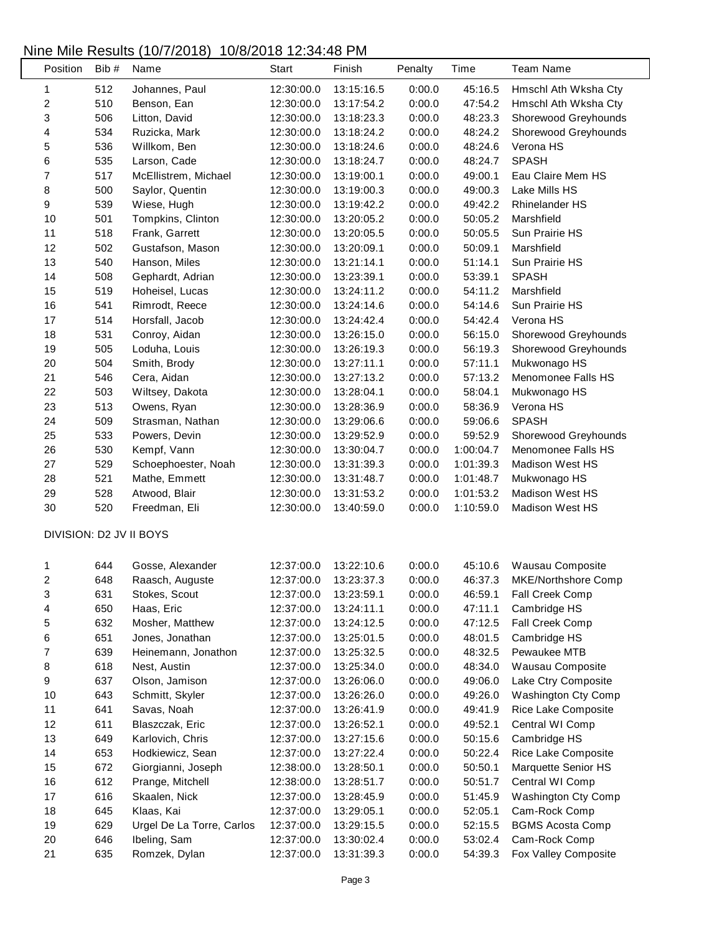# Nine Mile Results (10/7/2018) 10/8/2018 12:34:48 PM

| Position         | Bib# | Name                      | Start      | Finish     | Penalty | Time      | <b>Team Name</b>           |
|------------------|------|---------------------------|------------|------------|---------|-----------|----------------------------|
| 1                | 512  | Johannes, Paul            | 12:30:00.0 | 13:15:16.5 | 0:00.0  | 45:16.5   | Hmschl Ath Wksha Cty       |
| $\sqrt{2}$       | 510  | Benson, Ean               | 12:30:00.0 | 13:17:54.2 | 0:00.0  | 47:54.2   | Hmschl Ath Wksha Cty       |
| 3                | 506  | Litton, David             | 12:30:00.0 | 13:18:23.3 | 0:00.0  | 48:23.3   | Shorewood Greyhounds       |
| 4                | 534  | Ruzicka, Mark             | 12:30:00.0 | 13:18:24.2 | 0:00.0  | 48:24.2   | Shorewood Greyhounds       |
| 5                | 536  | Willkom, Ben              | 12:30:00.0 | 13:18:24.6 | 0:00.0  | 48:24.6   | Verona HS                  |
| 6                | 535  | Larson, Cade              | 12:30:00.0 | 13:18:24.7 | 0:00.0  | 48:24.7   | <b>SPASH</b>               |
| $\boldsymbol{7}$ | 517  | McEllistrem, Michael      | 12:30:00.0 | 13:19:00.1 | 0:00.0  | 49:00.1   | Eau Claire Mem HS          |
| 8                | 500  | Saylor, Quentin           | 12:30:00.0 | 13:19:00.3 | 0:00.0  | 49:00.3   | Lake Mills HS              |
| 9                | 539  | Wiese, Hugh               | 12:30:00.0 | 13:19:42.2 | 0:00.0  | 49:42.2   | <b>Rhinelander HS</b>      |
| 10               | 501  | Tompkins, Clinton         | 12:30:00.0 | 13:20:05.2 | 0:00.0  | 50:05.2   | Marshfield                 |
| 11               | 518  | Frank, Garrett            | 12:30:00.0 | 13:20:05.5 | 0:00.0  | 50:05.5   | Sun Prairie HS             |
| 12               | 502  | Gustafson, Mason          | 12:30:00.0 | 13:20:09.1 | 0:00.0  | 50:09.1   | Marshfield                 |
| 13               | 540  | Hanson, Miles             | 12:30:00.0 | 13:21:14.1 | 0:00.0  | 51:14.1   | Sun Prairie HS             |
| 14               | 508  | Gephardt, Adrian          | 12:30:00.0 | 13:23:39.1 | 0:00.0  | 53:39.1   | <b>SPASH</b>               |
| 15               | 519  | Hoheisel, Lucas           | 12:30:00.0 | 13:24:11.2 | 0:00.0  | 54:11.2   | Marshfield                 |
| 16               | 541  | Rimrodt, Reece            | 12:30:00.0 | 13:24:14.6 | 0:00.0  | 54:14.6   | Sun Prairie HS             |
| 17               | 514  | Horsfall, Jacob           | 12:30:00.0 | 13:24:42.4 | 0:00.0  | 54:42.4   | Verona HS                  |
| 18               | 531  | Conroy, Aidan             | 12:30:00.0 | 13:26:15.0 | 0:00.0  | 56:15.0   | Shorewood Greyhounds       |
| 19               | 505  | Loduha, Louis             | 12:30:00.0 | 13:26:19.3 | 0:00.0  | 56:19.3   | Shorewood Greyhounds       |
| 20               | 504  | Smith, Brody              | 12:30:00.0 | 13:27:11.1 | 0:00.0  | 57:11.1   | Mukwonago HS               |
| 21               | 546  | Cera, Aidan               | 12:30:00.0 | 13:27:13.2 | 0:00.0  | 57:13.2   | Menomonee Falls HS         |
| 22               | 503  | Wiltsey, Dakota           | 12:30:00.0 | 13:28:04.1 | 0:00.0  | 58:04.1   | Mukwonago HS               |
| 23               | 513  | Owens, Ryan               | 12:30:00.0 | 13:28:36.9 | 0:00.0  | 58:36.9   | Verona HS                  |
| 24               | 509  | Strasman, Nathan          | 12:30:00.0 | 13:29:06.6 | 0:00.0  | 59:06.6   | <b>SPASH</b>               |
| 25               | 533  | Powers, Devin             | 12:30:00.0 | 13:29:52.9 | 0:00.0  | 59:52.9   | Shorewood Greyhounds       |
| 26               | 530  | Kempf, Vann               | 12:30:00.0 | 13:30:04.7 | 0:00.0  | 1:00:04.7 | Menomonee Falls HS         |
| 27               | 529  | Schoephoester, Noah       | 12:30:00.0 | 13:31:39.3 | 0:00.0  | 1:01:39.3 | <b>Madison West HS</b>     |
| 28               | 521  | Mathe, Emmett             | 12:30:00.0 | 13:31:48.7 | 0:00.0  | 1:01:48.7 | Mukwonago HS               |
| 29               | 528  | Atwood, Blair             | 12:30:00.0 | 13:31:53.2 | 0:00.0  | 1:01:53.2 | Madison West HS            |
| $30\,$           | 520  | Freedman, Eli             | 12:30:00.0 | 13:40:59.0 | 0:00.0  | 1:10:59.0 | <b>Madison West HS</b>     |
|                  |      |                           |            |            |         |           |                            |
|                  |      | DIVISION: D2 JV II BOYS   |            |            |         |           |                            |
| 1                | 644  | Gosse, Alexander          | 12:37:00.0 | 13:22:10.6 | 0:00.0  | 45:10.6   | Wausau Composite           |
| $\overline{c}$   | 648  | Raasch, Auguste           | 12:37:00.0 | 13:23:37.3 | 0:00.0  | 46:37.3   | MKE/Northshore Comp        |
| 3                | 631  | Stokes, Scout             | 12:37:00.0 | 13:23:59.1 | 0:00.0  | 46:59.1   | Fall Creek Comp            |
| 4                | 650  | Haas, Eric                | 12:37:00.0 | 13:24:11.1 | 0:00.0  | 47:11.1   | Cambridge HS               |
| 5                | 632  | Mosher, Matthew           | 12:37:00.0 | 13:24:12.5 | 0:00.0  | 47:12.5   | Fall Creek Comp            |
| 6                | 651  | Jones, Jonathan           | 12:37:00.0 | 13:25:01.5 | 0:00.0  | 48:01.5   | Cambridge HS               |
| $\boldsymbol{7}$ | 639  | Heinemann, Jonathon       | 12:37:00.0 | 13:25:32.5 | 0:00.0  | 48:32.5   | Pewaukee MTB               |
| 8                | 618  | Nest, Austin              | 12:37:00.0 | 13:25:34.0 | 0:00.0  | 48:34.0   | Wausau Composite           |
| 9                | 637  | Olson, Jamison            | 12:37:00.0 | 13:26:06.0 | 0:00.0  | 49:06.0   | Lake Ctry Composite        |
| 10               | 643  | Schmitt, Skyler           | 12:37:00.0 | 13:26:26.0 | 0:00.0  | 49:26.0   | <b>Washington Cty Comp</b> |
| 11               | 641  | Savas, Noah               | 12:37:00.0 | 13:26:41.9 | 0:00.0  | 49:41.9   | Rice Lake Composite        |
| 12               | 611  | Blaszczak, Eric           |            |            | 0:00.0  | 49:52.1   | Central WI Comp            |
|                  |      |                           | 12:37:00.0 | 13:26:52.1 |         |           |                            |
| 13               | 649  | Karlovich, Chris          | 12:37:00.0 | 13:27:15.6 | 0:00.0  | 50:15.6   | Cambridge HS               |
| 14               | 653  | Hodkiewicz, Sean          | 12:37:00.0 | 13:27:22.4 | 0:00.0  | 50:22.4   | Rice Lake Composite        |
| 15               | 672  | Giorgianni, Joseph        | 12:38:00.0 | 13:28:50.1 | 0:00.0  | 50:50.1   | Marquette Senior HS        |
| 16               | 612  | Prange, Mitchell          | 12:38:00.0 | 13:28:51.7 | 0:00.0  | 50:51.7   | Central WI Comp            |
| 17               | 616  | Skaalen, Nick             | 12:37:00.0 | 13:28:45.9 | 0:00.0  | 51:45.9   | Washington Cty Comp        |
| 18               | 645  | Klaas, Kai                | 12:37:00.0 | 13:29:05.1 | 0:00.0  | 52:05.1   | Cam-Rock Comp              |
| 19               | 629  | Urgel De La Torre, Carlos | 12:37:00.0 | 13:29:15.5 | 0:00.0  | 52:15.5   | <b>BGMS Acosta Comp</b>    |
| 20               | 646  | Ibeling, Sam              | 12:37:00.0 | 13:30:02.4 | 0:00.0  | 53:02.4   | Cam-Rock Comp              |
| 21               | 635  | Romzek, Dylan             | 12:37:00.0 | 13:31:39.3 | 0:00.0  | 54:39.3   | Fox Valley Composite       |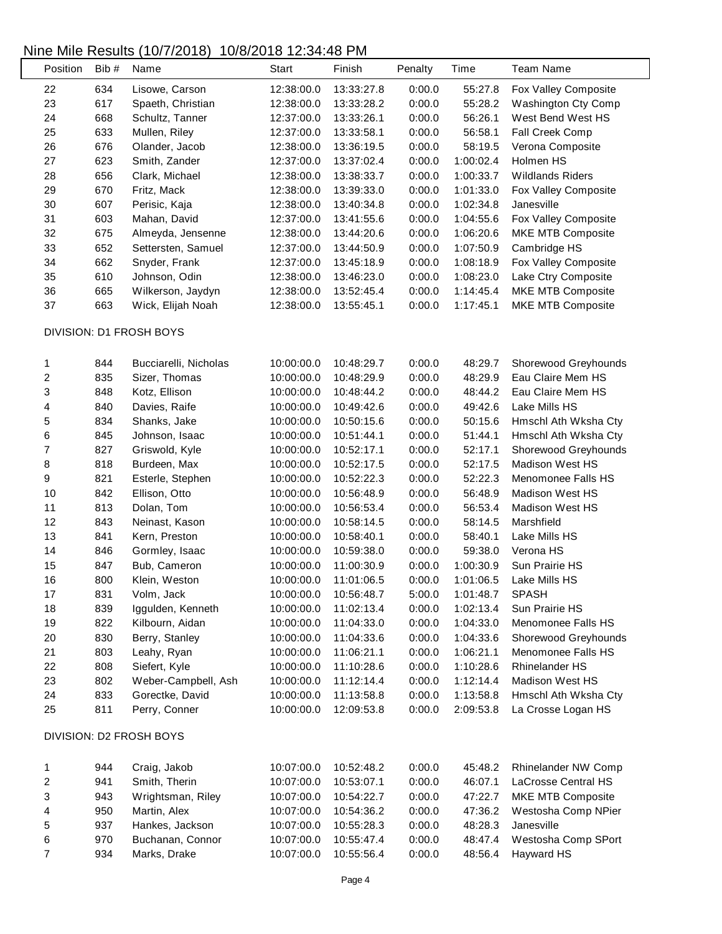### Nine Mile Results (10/7/2018) 10/8/2018 12:34:48 PM

|                         |       | $\cdot$ , $\cdot$ , $\sim$ , $\sim$ |            |            |         |           |                         |  |
|-------------------------|-------|-------------------------------------|------------|------------|---------|-----------|-------------------------|--|
| Position                | Bib # | Name                                | Start      | Finish     | Penalty | Time      | <b>Team Name</b>        |  |
| 22                      | 634   | Lisowe, Carson                      | 12:38:00.0 | 13:33:27.8 | 0:00.0  | 55:27.8   | Fox Valley Composite    |  |
| 23                      | 617   | Spaeth, Christian                   | 12:38:00.0 | 13:33:28.2 | 0:00.0  | 55:28.2   | Washington Cty Comp     |  |
| 24                      | 668   | Schultz, Tanner                     | 12:37:00.0 | 13:33:26.1 | 0:00.0  | 56:26.1   | West Bend West HS       |  |
| 25                      | 633   | Mullen, Riley                       | 12:37:00.0 | 13:33:58.1 | 0:00.0  | 56:58.1   | Fall Creek Comp         |  |
| 26                      | 676   | Olander, Jacob                      | 12:38:00.0 | 13:36:19.5 | 0:00.0  | 58:19.5   | Verona Composite        |  |
| 27                      | 623   | Smith, Zander                       | 12:37:00.0 | 13:37:02.4 | 0:00.0  | 1:00:02.4 | Holmen HS               |  |
| 28                      | 656   | Clark, Michael                      | 12:38:00.0 | 13:38:33.7 | 0:00.0  | 1:00:33.7 | <b>Wildlands Riders</b> |  |
| 29                      | 670   | Fritz, Mack                         | 12:38:00.0 | 13:39:33.0 | 0:00.0  | 1:01:33.0 | Fox Valley Composite    |  |
| 30                      | 607   | Perisic, Kaja                       | 12:38:00.0 | 13:40:34.8 | 0:00.0  | 1:02:34.8 | Janesville              |  |
| 31                      | 603   | Mahan, David                        | 12:37:00.0 | 13:41:55.6 | 0:00.0  | 1:04:55.6 | Fox Valley Composite    |  |
| 32                      | 675   | Almeyda, Jensenne                   | 12:38:00.0 | 13:44:20.6 | 0:00.0  | 1:06:20.6 | MKE MTB Composite       |  |
| 33                      | 652   | Settersten, Samuel                  | 12:37:00.0 | 13:44:50.9 | 0:00.0  | 1:07:50.9 | Cambridge HS            |  |
| 34                      | 662   | Snyder, Frank                       | 12:37:00.0 | 13:45:18.9 | 0:00.0  | 1:08:18.9 | Fox Valley Composite    |  |
| 35                      | 610   | Johnson, Odin                       | 12:38:00.0 | 13:46:23.0 | 0:00.0  | 1:08:23.0 | Lake Ctry Composite     |  |
| 36                      | 665   | Wilkerson, Jaydyn                   | 12:38:00.0 | 13:52:45.4 | 0:00.0  | 1:14:45.4 | MKE MTB Composite       |  |
| 37                      | 663   | Wick, Elijah Noah                   | 12:38:00.0 | 13:55:45.1 | 0:00.0  | 1:17:45.1 | MKE MTB Composite       |  |
|                         |       |                                     |            |            |         |           |                         |  |
|                         |       | DIVISION: D1 FROSH BOYS             |            |            |         |           |                         |  |
| 1                       | 844   | Bucciarelli, Nicholas               | 10:00:00.0 | 10:48:29.7 | 0:00.0  | 48:29.7   | Shorewood Greyhounds    |  |
| 2                       | 835   | Sizer, Thomas                       | 10:00:00.0 | 10:48:29.9 | 0:00.0  | 48:29.9   | Eau Claire Mem HS       |  |
| 3                       | 848   | Kotz, Ellison                       | 10:00:00.0 | 10:48:44.2 | 0:00.0  | 48:44.2   | Eau Claire Mem HS       |  |
| 4                       | 840   | Davies, Raife                       | 10:00:00.0 | 10:49:42.6 | 0:00.0  | 49:42.6   | Lake Mills HS           |  |
| 5                       | 834   | Shanks, Jake                        | 10:00:00.0 | 10:50:15.6 | 0:00.0  | 50:15.6   | Hmschl Ath Wksha Cty    |  |
| 6                       | 845   | Johnson, Isaac                      | 10:00:00.0 | 10:51:44.1 | 0:00.0  | 51:44.1   | Hmschl Ath Wksha Cty    |  |
| 7                       | 827   | Griswold, Kyle                      | 10:00:00.0 | 10:52:17.1 | 0:00.0  | 52:17.1   | Shorewood Greyhounds    |  |
| 8                       | 818   | Burdeen, Max                        | 10:00:00.0 | 10:52:17.5 | 0:00.0  | 52:17.5   | <b>Madison West HS</b>  |  |
| 9                       | 821   | Esterle, Stephen                    | 10:00:00.0 | 10:52:22.3 | 0:00.0  | 52:22.3   | Menomonee Falls HS      |  |
| 10                      | 842   | Ellison, Otto                       | 10:00:00.0 | 10:56:48.9 | 0:00.0  | 56:48.9   | <b>Madison West HS</b>  |  |
| 11                      | 813   | Dolan, Tom                          | 10:00:00.0 | 10:56:53.4 | 0:00.0  | 56:53.4   | Madison West HS         |  |
| 12                      | 843   | Neinast, Kason                      | 10:00:00.0 | 10:58:14.5 | 0:00.0  | 58:14.5   | Marshfield              |  |
| 13                      | 841   | Kern, Preston                       | 10:00:00.0 | 10:58:40.1 | 0:00.0  | 58:40.1   | Lake Mills HS           |  |
| 14                      | 846   | Gormley, Isaac                      | 10:00:00.0 | 10:59:38.0 | 0:00.0  | 59:38.0   | Verona HS               |  |
| 15                      | 847   | Bub, Cameron                        | 10:00:00.0 | 11:00:30.9 | 0:00.0  | 1:00:30.9 | Sun Prairie HS          |  |
| 16                      | 800   | Klein, Weston                       | 10:00:00.0 | 11:01:06.5 | 0:00.0  | 1:01:06.5 | Lake Mills HS           |  |
| 17                      | 831   | Volm, Jack                          | 10:00:00.0 | 10:56:48.7 | 5:00.0  | 1:01:48.7 | <b>SPASH</b>            |  |
| 18                      | 839   | Iggulden, Kenneth                   | 10:00:00.0 | 11:02:13.4 | 0:00.0  | 1:02:13.4 | Sun Prairie HS          |  |
| 19                      | 822   | Kilbourn, Aidan                     | 10:00:00.0 | 11:04:33.0 | 0:00.0  | 1:04:33.0 | Menomonee Falls HS      |  |
| 20                      | 830   | Berry, Stanley                      | 10:00:00.0 | 11:04:33.6 | 0:00.0  | 1:04:33.6 | Shorewood Greyhounds    |  |
| 21                      | 803   | Leahy, Ryan                         | 10:00:00.0 | 11:06:21.1 | 0:00.0  | 1:06:21.1 | Menomonee Falls HS      |  |
| 22                      | 808   | Siefert, Kyle                       | 10:00:00.0 | 11:10:28.6 | 0:00.0  | 1:10:28.6 | <b>Rhinelander HS</b>   |  |
| 23                      | 802   | Weber-Campbell, Ash                 | 10:00:00.0 | 11:12:14.4 | 0:00.0  | 1:12:14.4 | Madison West HS         |  |
| 24                      | 833   | Gorectke, David                     | 10:00:00.0 | 11:13:58.8 | 0:00.0  | 1:13:58.8 | Hmschl Ath Wksha Cty    |  |
| 25                      | 811   | Perry, Conner                       | 10:00:00.0 | 12:09:53.8 | 0:00.0  | 2:09:53.8 | La Crosse Logan HS      |  |
| DIVISION: D2 FROSH BOYS |       |                                     |            |            |         |           |                         |  |
|                         |       |                                     |            |            |         |           |                         |  |
| 1                       | 944   | Craig, Jakob                        | 10:07:00.0 | 10:52:48.2 | 0:00.0  | 45:48.2   | Rhinelander NW Comp     |  |
| 2                       | 941   | Smith, Therin                       | 10:07:00.0 | 10:53:07.1 | 0:00.0  | 46:07.1   | LaCrosse Central HS     |  |
| 3                       | 943   | Wrightsman, Riley                   | 10:07:00.0 | 10:54:22.7 | 0:00.0  | 47:22.7   | MKE MTB Composite       |  |
| 4                       | 950   | Martin, Alex                        | 10:07:00.0 | 10:54:36.2 | 0:00.0  | 47:36.2   | Westosha Comp NPier     |  |
| 5                       | 937   | Hankes, Jackson                     | 10:07:00.0 | 10:55:28.3 | 0:00.0  | 48:28.3   | Janesville              |  |
| 6                       | 970   | Buchanan, Connor                    | 10:07:00.0 | 10:55:47.4 | 0:00.0  | 48:47.4   | Westosha Comp SPort     |  |
| 7                       | 934   | Marks, Drake                        | 10:07:00.0 | 10:55:56.4 | 0:00.0  | 48:56.4   | Hayward HS              |  |